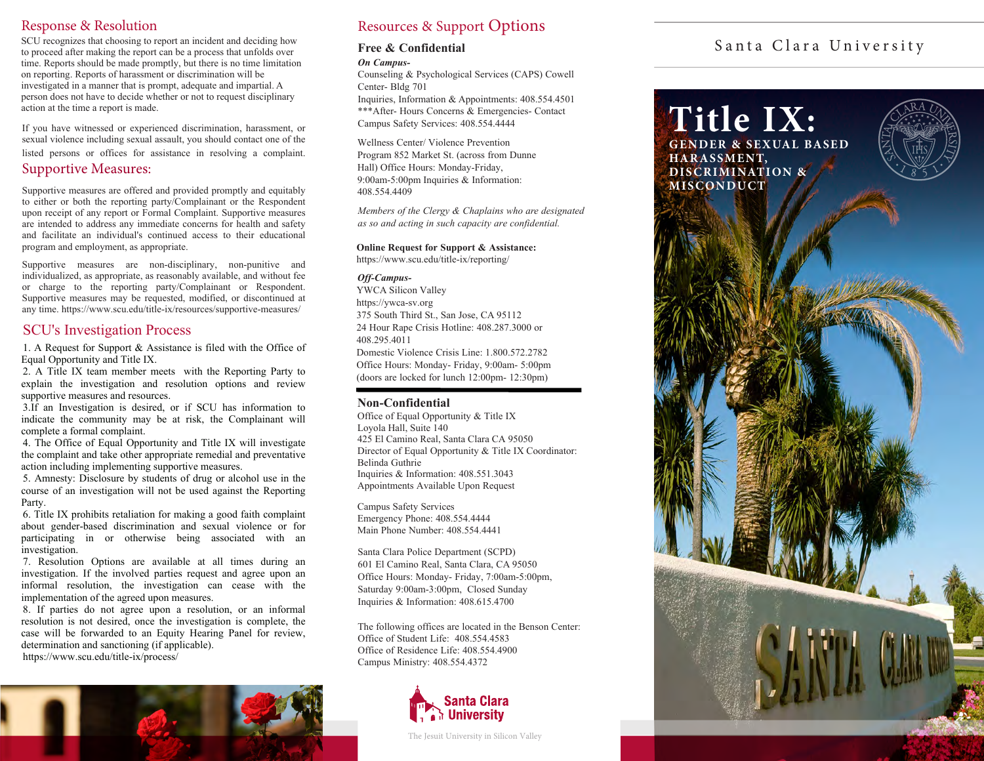## Response & Resolution

SCU recognizes that choosing to report an incident and deciding how to proceed after making the report can be a process that unfolds over time. Reports should be made promptly, but there is no time limitation on reporting. Reports of harassment or discrimination will be investigated in a manner that is prompt, adequate and impartial. A person does not have to decide whether or not to request disciplinary action at the time a report is made.

If you have witnessed or experienced discrimination, harassment, or sexual violence including sexual assault, you should contact one of the listed persons or offices for assistance in resolving a complaint.

### Supportive Measures:

Supportive measures are offered and provided promptly and equitably to either or both the reporting party/Complainant or the Respondent upon receipt of any report or Formal Complaint. Supportive measures are intended to address any immediate concerns for health and safety and facilitate an individual's continued access to their educational program and employment, as appropriate.

Supportive measures are non-disciplinary, non-punitive and individualized, as appropriate, as reasonably available, and without fee or charge to the reporting party/Complainant or Respondent. Supportive measures may be requested, modified, or discontinued at any time. <https://www.scu.edu/title-ix/resources/supportive-measures/>

## SCU's Investigation Process

1. A Request for Support & Assistance is filed with the Office of Equal Opportunity and Title IX.

2. A Title IX team member meets with the Reporting Party to explain the investigation and resolution options and review supportive measures and resources.

3.If an Investigation is desired, or if SCU has information to indicate the community may be at risk, the Complainant will complete a formal complaint.

4. The Office of Equal Opportunity and Title IX will investigate the complaint and take other appropriate remedial and preventative action including implementing supportive measures.

5. Amnesty: Disclosure by students of drug or alcohol use in the course of an investigation will not be used against the Reporting Party.

6. Title IX prohibits retaliation for making a good faith complaint about gender-based discrimination and sexual violence or for participating in or otherwise being associated with an investigation.

7. Resolution Options are available at all times during an investigation. If the involved parties request and agree upon an informal resolution, the investigation can cease with the implementation of the agreed upon measures.

8. If parties do not agree upon a resolution, or an informal resolution is not desired, once the investigation is complete, the case will be forwarded to an Equity Hearing Panel for review, determination and sanctioning (if applicable). <https://www.scu.edu/title-ix/process/>



# Resources & Support Options

# **Free & Confidential**

#### *On Campus-*

Counseling & Psychological Services (CAPS) Cowell Center- Bldg 701

Inquiries, Information & Appointments: 408.554.4501 \*\*\*After- Hours Concerns & Emergencies- Contact Campus Safety Services: 408.554.4444

Wellness Center/ Violence Prevention Program 852 Market St. (across from Dunne Hall) Office Hours: Monday-Friday, 9:00am-5:00pm Inquiries & Information: 408.554.4409

*Members of the Clergy & Chaplains who are designated as so and acting in such capacity are confidential.*

**Online Request for Support & Assistance:** <https://www.scu.edu/title-ix/reporting/>

#### *Off-Campus-*

YWCA Silicon Valley <https://ywca-sv.org> 375 South Third St., San Jose, CA 95112 24 Hour Rape Crisis Hotline: 408.287.3000 or 408.295.4011 Domestic Violence Crisis Line: 1.800.572.2782

Office Hours: Monday- Friday, 9:00am- 5:00pm (doors are locked for lunch 12:00pm- 12:30pm)

### **Non-Confidential**

Office of Equal Opportunity & Title IX Loyola Hall, Suite 140 425 El Camino Real, Santa Clara CA 95050 Director of Equal Opportunity & Title IX Coordinator: Belinda Guthrie Inquiries & Information: 408.551.3043 Appointments Available Upon Request

Campus Safety Services Emergency Phone: 408.554.4444 Main Phone Number: 408.554.4441

Santa Clara Police Department (SCPD) 601 El Camino Real, Santa Clara, CA 95050 Office Hours: Monday- Friday, 7:00am-5:00pm, Saturday 9:00am-3:00pm, Closed Sunday Inquiries & Information: 408.615.4700

The following offices are located in the Benson Center: Office of Student Life: 408.554.4583 Office of Residence Life: 408.554.4900 Campus Ministry: 408.554.4372



The Jesuit University in Silicon Valley

# Santa Clara University

**Title IX: GENDER & SEXUAL BASED HAR ASSMENT,** 

**DISCRIMINATION & MISC ONDUCT**